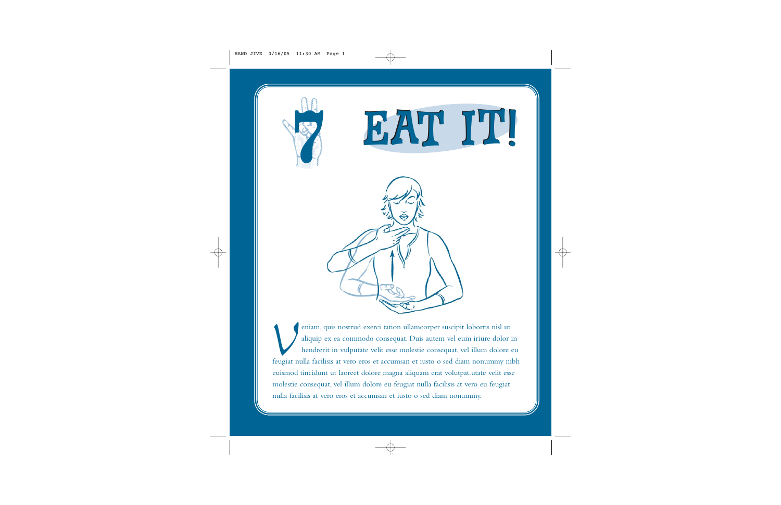





*V*eniam, quis nostrud exerci tation ullamcorper suscipit lobortis nisl ut aliquip ex ea commodo consequat. Duis autem vel eum iriure dolor in hendrerit in vulputate velit esse molestie consequat, vel illum dolore eu feugiat nulla facilisis at vero eros et accumsan et iusto o sed diam nonummy nibh euismod tincidunt ut laoreet dolore magna aliquam erat volutpat.utate velit esse molestie consequat, vel illum dolore eu feugiat nulla facilisis at vero eu feugiat nulla facilisis at vero eros et accumsan et iusto o sed diam nonummy.